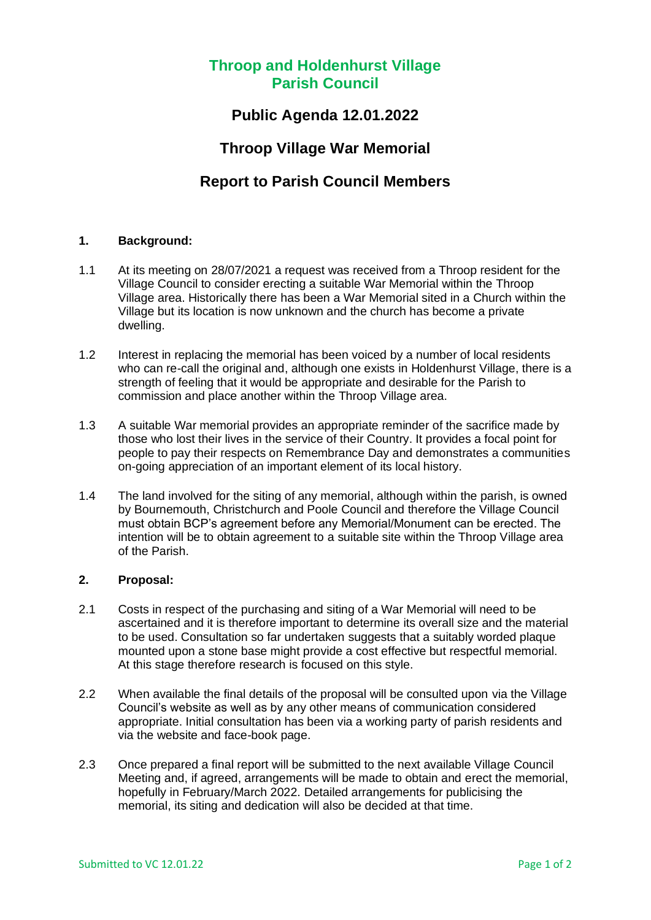# **Throop and Holdenhurst Village Parish Council**

## **Public Agenda 12.01.2022**

# **Throop Village War Memorial**

# **Report to Parish Council Members**

## **1. Background:**

- 1.1 At its meeting on 28/07/2021 a request was received from a Throop resident for the Village Council to consider erecting a suitable War Memorial within the Throop Village area. Historically there has been a War Memorial sited in a Church within the Village but its location is now unknown and the church has become a private dwelling.
- 1.2 Interest in replacing the memorial has been voiced by a number of local residents who can re-call the original and, although one exists in Holdenhurst Village, there is a strength of feeling that it would be appropriate and desirable for the Parish to commission and place another within the Throop Village area.
- 1.3 A suitable War memorial provides an appropriate reminder of the sacrifice made by those who lost their lives in the service of their Country. It provides a focal point for people to pay their respects on Remembrance Day and demonstrates a communities on-going appreciation of an important element of its local history.
- 1.4 The land involved for the siting of any memorial, although within the parish, is owned by Bournemouth, Christchurch and Poole Council and therefore the Village Council must obtain BCP's agreement before any Memorial/Monument can be erected. The intention will be to obtain agreement to a suitable site within the Throop Village area of the Parish.

#### **2. Proposal:**

- 2.1 Costs in respect of the purchasing and siting of a War Memorial will need to be ascertained and it is therefore important to determine its overall size and the material to be used. Consultation so far undertaken suggests that a suitably worded plaque mounted upon a stone base might provide a cost effective but respectful memorial. At this stage therefore research is focused on this style.
- 2.2 When available the final details of the proposal will be consulted upon via the Village Council's website as well as by any other means of communication considered appropriate. Initial consultation has been via a working party of parish residents and via the website and face-book page.
- 2.3 Once prepared a final report will be submitted to the next available Village Council Meeting and, if agreed, arrangements will be made to obtain and erect the memorial, hopefully in February/March 2022. Detailed arrangements for publicising the memorial, its siting and dedication will also be decided at that time.